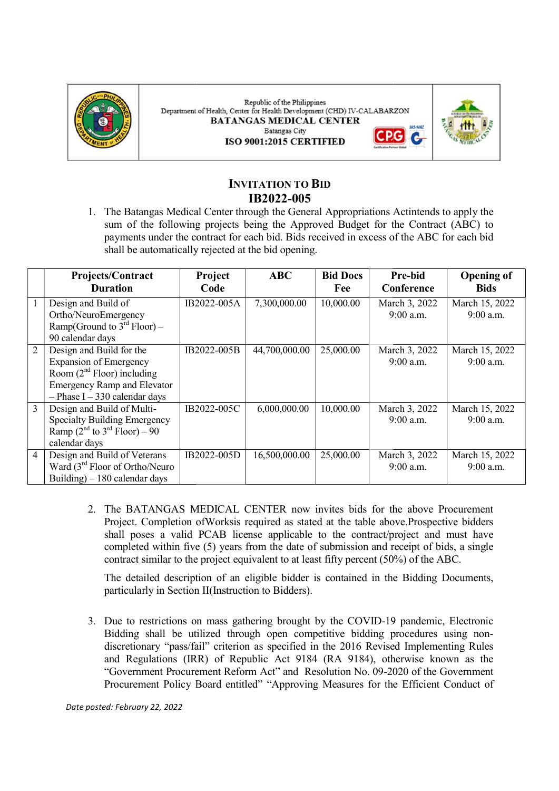

Republic of the Philippines Department of Health, Center for Health Development (CHD) IV-CALABARZON **BATANGAS MEDICAL CENTER Batangas City** G ISO 9001:2015 CERTIFIED



# INVITATION TO BID IB2022-005

|                | Projects/Contract<br><b>Duration</b>                                                                                                                                                                                                                                                                                                                                                                                                                                                                                                                                                                                                                                                                                                                                                                                                                                                                                                                                                                                                                                                                                                  | Project<br>Code | <b>ABC</b>    | <b>Bid Docs</b><br>Fee | Pre-bid<br>Conference      | <b>Opening of</b><br><b>Bids</b> |
|----------------|---------------------------------------------------------------------------------------------------------------------------------------------------------------------------------------------------------------------------------------------------------------------------------------------------------------------------------------------------------------------------------------------------------------------------------------------------------------------------------------------------------------------------------------------------------------------------------------------------------------------------------------------------------------------------------------------------------------------------------------------------------------------------------------------------------------------------------------------------------------------------------------------------------------------------------------------------------------------------------------------------------------------------------------------------------------------------------------------------------------------------------------|-----------------|---------------|------------------------|----------------------------|----------------------------------|
|                | Design and Build of<br>Ortho/NeuroEmergency<br>Ramp(Ground to $3^{rd}$ Floor) –<br>90 calendar days                                                                                                                                                                                                                                                                                                                                                                                                                                                                                                                                                                                                                                                                                                                                                                                                                                                                                                                                                                                                                                   | IB2022-005A     | 7,300,000.00  | 10,000.00              | March 3, 2022<br>9:00 a.m. | March 15, 2022<br>9:00 a.m.      |
| $\overline{2}$ | Design and Build for the<br><b>Expansion of Emergency</b><br>Room $(2nd$ Floor) including<br><b>Emergency Ramp and Elevator</b><br>$-$ Phase I $-$ 330 calendar days                                                                                                                                                                                                                                                                                                                                                                                                                                                                                                                                                                                                                                                                                                                                                                                                                                                                                                                                                                  | IB2022-005B     | 44,700,000.00 | 25,000.00              | March 3, 2022<br>9:00 a.m. | March 15, 2022<br>9:00 a.m.      |
| $\overline{3}$ | Design and Build of Multi-<br><b>Specialty Building Emergency</b><br>Ramp $(2^{nd}$ to $3^{rd}$ Floor) – 90<br>calendar days                                                                                                                                                                                                                                                                                                                                                                                                                                                                                                                                                                                                                                                                                                                                                                                                                                                                                                                                                                                                          | IB2022-005C     | 6,000,000.00  | 10,000.00              | March 3, 2022<br>9:00 a.m. | March 15, 2022<br>9:00 a.m.      |
| $\overline{4}$ | Design and Build of Veterans<br>Ward $(3rd$ Floor of Ortho/Neuro<br>Building) $-180$ calendar days                                                                                                                                                                                                                                                                                                                                                                                                                                                                                                                                                                                                                                                                                                                                                                                                                                                                                                                                                                                                                                    | IB2022-005D     | 16,500,000.00 | 25,000.00              | March 3, 2022<br>9:00 a.m. | March 15, 2022<br>9:00 a.m.      |
|                | 2. The BATANGAS MEDICAL CENTER now invites bids for the above Procurement<br>Project. Completion of Worksis required as stated at the table above. Prospective bidders<br>shall poses a valid PCAB license applicable to the contract/project and must have<br>completed within five (5) years from the date of submission and receipt of bids, a single<br>contract similar to the project equivalent to at least fifty percent (50%) of the ABC.<br>The detailed description of an eligible bidder is contained in the Bidding Documents,<br>particularly in Section II(Instruction to Bidders).<br>3. Due to restrictions on mass gathering brought by the COVID-19 pandemic, Electronic<br>Bidding shall be utilized through open competitive bidding procedures using non-<br>discretionary "pass/fail" criterion as specified in the 2016 Revised Implementing Rules<br>and Regulations (IRR) of Republic Act 9184 (RA 9184), otherwise known as the<br>"Government Procurement Reform Act" and Resolution No. 09-2020 of the Government<br>Procurement Policy Board entitled" "Approving Measures for the Efficient Conduct of |                 |               |                        |                            |                                  |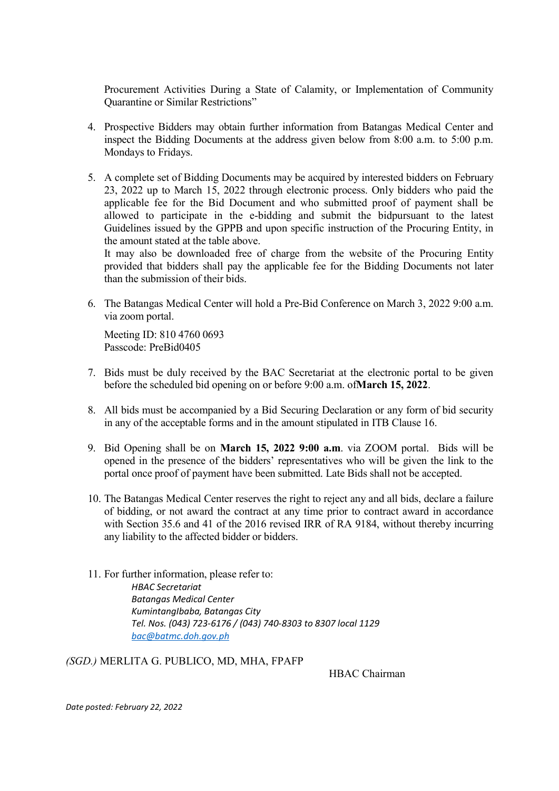Procurement Activities During a State of Calamity, or Implementation of Community Quarantine or Similar Restrictions"

- 4. Prospective Bidders may obtain further information from Batangas Medical Center and inspect the Bidding Documents at the address given below from 8:00 a.m. to 5:00 p.m. Mondays to Fridays.
- 5. A complete set of Bidding Documents may be acquired by interested bidders on February 23, 2022 up to March 15, 2022 through electronic process. Only bidders who paid the applicable fee for the Bid Document and who submitted proof of payment shall be allowed to participate in the e-bidding and submit the bidpursuant to the latest Guidelines issued by the GPPB and upon specific instruction of the Procuring Entity, in the amount stated at the table above.

It may also be downloaded free of charge from the website of the Procuring Entity provided that bidders shall pay the applicable fee for the Bidding Documents not later than the submission of their bids.

6. The Batangas Medical Center will hold a Pre-Bid Conference on March 3, 2022 9:00 a.m. via zoom portal.

Meeting ID: 810 4760 0693 Passcode: PreBid0405

- 7. Bids must be duly received by the BAC Secretariat at the electronic portal to be given before the scheduled bid opening on or before 9:00 a.m. ofMarch 15, 2022.
- 8. All bids must be accompanied by a Bid Securing Declaration or any form of bid security in any of the acceptable forms and in the amount stipulated in ITB Clause 16.
- 9. Bid Opening shall be on March 15, 2022 9:00 a.m. via ZOOM portal. Bids will be opened in the presence of the bidders' representatives who will be given the link to the portal once proof of payment have been submitted. Late Bids shall not be accepted.
- 10. The Batangas Medical Center reserves the right to reject any and all bids, declare a failure of bidding, or not award the contract at any time prior to contract award in accordance with Section 35.6 and 41 of the 2016 revised IRR of RA 9184, without thereby incurring any liability to the affected bidder or bidders.
- 11. For further information, please refer to: HBAC Secretariat Batangas Medical Center KumintangIbaba, Batangas City Tel. Nos. (043) 723-6176 / (043) 740-8303 to 8307 local 1129 bac@batmc.doh.gov.ph

(SGD.) MERLITA G. PUBLICO, MD, MHA, FPAFP

HBAC Chairman

Date posted: February 22, 2022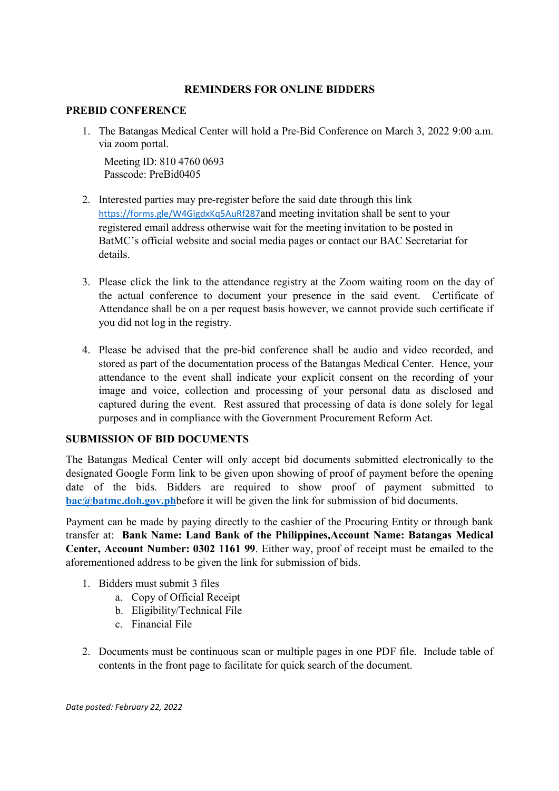## REMINDERS FOR ONLINE BIDDERS

## PREBID CONFERENCE

1. The Batangas Medical Center will hold a Pre-Bid Conference on March 3, 2022 9:00 a.m. via zoom portal.

Meeting ID: 810 4760 0693 Passcode: PreBid0405

- 2. Interested parties may pre-register before the said date through this link https://forms.gle/W4GigdxKq5AuRf287and meeting invitation shall be sent to your registered email address otherwise wait for the meeting invitation to be posted in BatMC's official website and social media pages or contact our BAC Secretariat for details.
- 3. Please click the link to the attendance registry at the Zoom waiting room on the day of the actual conference to document your presence in the said event. Certificate of Attendance shall be on a per request basis however, we cannot provide such certificate if you did not log in the registry.
- 4. Please be advised that the pre-bid conference shall be audio and video recorded, and stored as part of the documentation process of the Batangas Medical Center. Hence, your attendance to the event shall indicate your explicit consent on the recording of your image and voice, collection and processing of your personal data as disclosed and captured during the event. Rest assured that processing of data is done solely for legal purposes and in compliance with the Government Procurement Reform Act.

## SUBMISSION OF BID DOCUMENTS

The Batangas Medical Center will only accept bid documents submitted electronically to the designated Google Form link to be given upon showing of proof of payment before the opening date of the bids. Bidders are required to show proof of payment submitted to bac@batmc.doh.gov.phbefore it will be given the link for submission of bid documents.

Payment can be made by paying directly to the cashier of the Procuring Entity or through bank transfer at: Bank Name: Land Bank of the Philippines,Account Name: Batangas Medical Center, Account Number: 0302 1161 99. Either way, proof of receipt must be emailed to the aforementioned address to be given the link for submission of bids.

- 1. Bidders must submit 3 files
	- a. Copy of Official Receipt
	- b. Eligibility/Technical File
	- c. Financial File
- 2. Documents must be continuous scan or multiple pages in one PDF file. Include table of contents in the front page to facilitate for quick search of the document.

Date posted: February 22, 2022